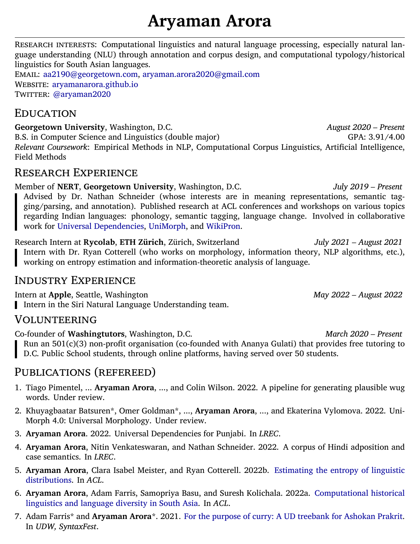# **Aryaman Arora**

RESEARCH INTERESTS: Computational linguistics and natural language processing, especially natural language understanding (NLU) through annotation and corpus design, and computational typology/historical linguistics for South Asian languages.

EMAIL: [aa2190@georgetown.com](mailto:aa2190@georgetown.com), [aryaman.arora2020@gmail.com](mailto:aryaman.arora2020@gmail.com) WEBSITE: [aryamanarora.github.io](https://aryamanarora.github.io/) TWITTER: [@aryaman2020](https://twitter.com/aryaman2020)

### EDUCATION

Georgetown University, Washington, D.C. *August 2020 – Present* B.S. in Computer Science and Linguistics (double major) GPA: 3.91/4.00 *Relevant Coursework*: Empirical Methods in NLP, Computational Corpus Linguistics, Artificial Intelligence, Field Methods

### RESEARCH EXPERIENCE

Member of **NERT**, **Georgetown University**, Washington, D.C. *July 2019 – Present* Advised by Dr. Nathan Schneider (whose interests are in meaning representations, semantic tagging/parsing, and annotation). Published research at ACL conferences and workshops on various topics regarding Indian languages: phonology, semantic tagging, language change. Involved in collaborative work for [Universal Dependencies,](http://universaldependencies.org/) [UniMorph,](https://unimorph.github.io/) and [WikiPron](https://github.com/CUNY-CL/wikipron).

Research Intern at **Rycolab**, **ETH Zürich**, Zürich, Switzerland *July 2021 – August 2021* Intern with Dr. Ryan Cotterell (who works on morphology, information theory, NLP algorithms, etc.), working on entropy estimation and information-theoretic analysis of language.

# INDUSTRY EXPERIENCE

Intern at **Apple**, Seattle, Washington *May 2022 – August 2022* Intern in the Siri Natural Language Understanding team.

# VOLUNTEERING

Co-founder of **Washingtutors**, Washington, D.C. *March 2020 – Present* Run an 501(c)(3) non-profit organisation (co-founded with Ananya Gulati) that provides free tutoring to D.C. Public School students, through online platforms, having served over 50 students.

# PUBLICATIONS (REFEREED)

- 1. Tiago Pimentel, ... **Aryaman Arora**, ..., and Colin Wilson. 2022. A pipeline for generating plausible wug words. Under review.
- 2. Khuyagbaatar Batsuren\*, Omer Goldman\*, ..., **Aryaman Arora**, ..., and Ekaterina Vylomova. 2022. Uni-Morph 4.0: Universal Morphology. Under review.
- 3. **Aryaman Arora**. 2022. Universal Dependencies for Punjabi. In *LREC*.
- 4. **Aryaman Arora**, Nitin Venkateswaran, and Nathan Schneider. 2022. A corpus of Hindi adposition and case semantics. In *LREC*.
- 5. **Aryaman Arora**, Clara Isabel Meister, and Ryan Cotterell. 2022b. [Estimating the entropy of linguistic](https://arxiv.org/abs/2204.01469) [distributions](https://arxiv.org/abs/2204.01469). In *ACL*.
- 6. **Aryaman Arora**, Adam Farris, Samopriya Basu, and Suresh Kolichala. 2022a. [Computational historical](https://arxiv.org/abs/2203.12524) [linguistics and language diversity in South Asia.](https://arxiv.org/abs/2203.12524) In *ACL*.
- 7. Adam Farris\* and **Aryaman Arora**\*. 2021. [For the purpose of curry: A UD treebank for Ashokan Prakrit](https://aclanthology.org/2021.udw-1.4/). In *UDW, SyntaxFest*.